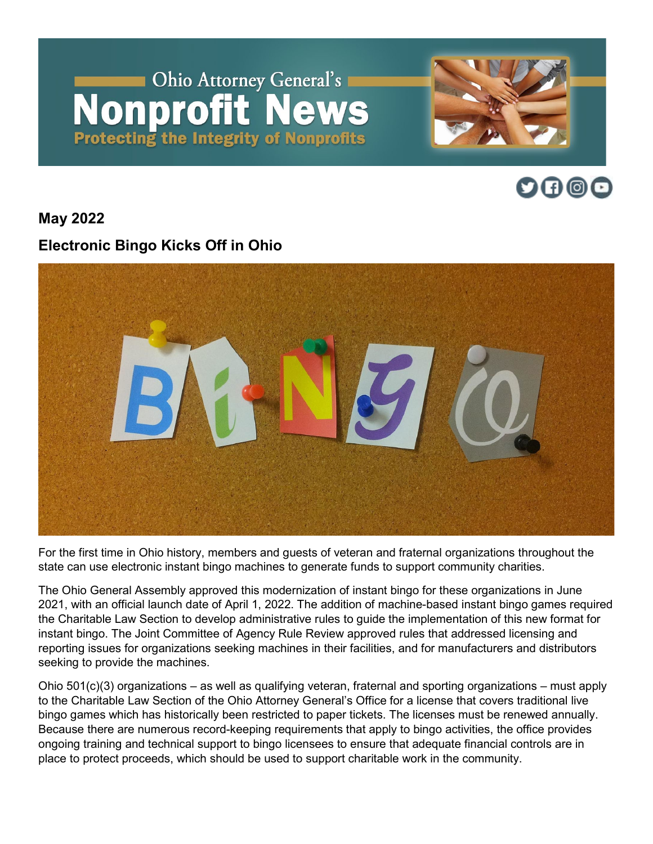# Ohio Attorney General's **Nonprofit News Protecting the Integrity of Nonprofits**





**May 2022**

## **Electronic Bingo Kicks Off in Ohio**



For the first time in Ohio history, members and guests of veteran and fraternal organizations throughout the state can use electronic instant bingo machines to generate funds to support community charities.

The Ohio General Assembly approved this modernization of instant bingo for these organizations in June 2021, with an official launch date of April 1, 2022. The addition of machine-based instant bingo games required the Charitable Law Section to develop administrative rules to guide the implementation of this new format for instant bingo. The Joint Committee of Agency Rule Review approved rules that addressed licensing and reporting issues for organizations seeking machines in their facilities, and for manufacturers and distributors seeking to provide the machines.

Ohio 501(c)(3) organizations – as well as qualifying veteran, fraternal and sporting organizations – must apply to the Charitable Law Section of the Ohio Attorney General's Office for a license that covers traditional live bingo games which has historically been restricted to paper tickets. The licenses must be renewed annually. Because there are numerous record-keeping requirements that apply to bingo activities, the office provides ongoing training and technical support to bingo licensees to ensure that adequate financial controls are in place to protect proceeds, which should be used to support charitable work in the community.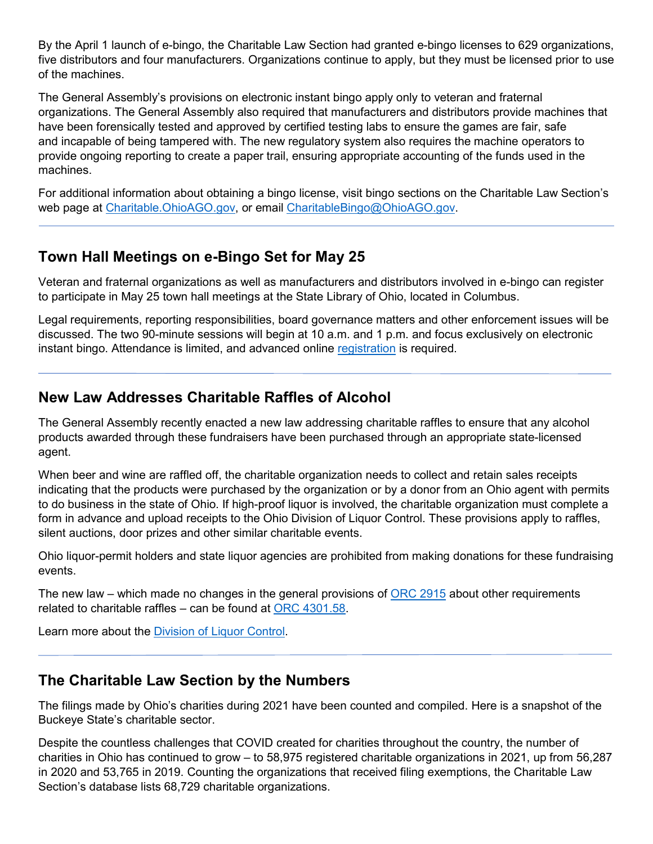By the April 1 launch of e-bingo, the Charitable Law Section had granted e-bingo licenses to 629 organizations, five distributors and four manufacturers. Organizations continue to apply, but they must be licensed prior to use of the machines.

The General Assembly's provisions on electronic instant bingo apply only to veteran and fraternal organizations. The General Assembly also required that manufacturers and distributors provide machines that have been forensically tested and approved by certified testing labs to ensure the games are fair, safe and incapable of being tampered with. The new regulatory system also requires the machine operators to provide ongoing reporting to create a paper trail, ensuring appropriate accounting of the funds used in the machines.

For additional information about obtaining a bingo license, visit bingo sections on the Charitable Law Section's web page at [Charitable.OhioAGO.gov,](https://charitable.ohioago.gov/Charitable-Bingo/Register-for-Bingo-Training) or email [CharitableBingo@OhioAGO.gov.](mailto:CharitableBingo@OhioAGO.gov)

#### **Town Hall Meetings on e-Bingo Set for May 25**

Veteran and fraternal organizations as well as manufacturers and distributors involved in e-bingo can register to participate in May 25 town hall meetings at the State Library of Ohio, located in Columbus.

Legal requirements, reporting responsibilities, board governance matters and other enforcement issues will be discussed. The two 90-minute sessions will begin at 10 a.m. and 1 p.m. and focus exclusively on electronic instant bingo. Attendance is limited, and advanced online [registration](https://charitable.ohioago.gov/Charitable-Bingo/Register-for-Bingo-Training) is required.

#### **New Law Addresses Charitable Raffles of Alcohol**

The General Assembly recently enacted a new law addressing charitable raffles to ensure that any alcohol products awarded through these fundraisers have been purchased through an appropriate state-licensed agent.

When beer and wine are raffled off, the charitable organization needs to collect and retain sales receipts indicating that the products were purchased by the organization or by a donor from an Ohio agent with permits to do business in the state of Ohio. If high-proof liquor is involved, the charitable organization must complete a form in advance and upload receipts to the Ohio Division of Liquor Control. These provisions apply to raffles, silent auctions, door prizes and other similar charitable events.

Ohio liquor-permit holders and state liquor agencies are prohibited from making donations for these fundraising events.

The new law – which made no changes in the general provisions of [ORC 2915](https://codes.ohio.gov/ohio-revised-code/chapter-2915) about other requirements related to charitable raffles – can be found at [ORC 4301.58.](https://codes.ohio.gov/ohio-revised-code/section-4301.58)

Learn more about the [Division of Liquor Control.](https://com.ohio.gov/divisions-and-programs/liquor-control/Temporary-event-permits/applications-and-forms/beer-and-intoxicating-liquor-receipts-for-fundraisers)

### **The Charitable Law Section by the Numbers**

The filings made by Ohio's charities during 2021 have been counted and compiled. Here is a snapshot of the Buckeye State's charitable sector.

Despite the countless challenges that COVID created for charities throughout the country, the number of charities in Ohio has continued to grow – to 58,975 registered charitable organizations in 2021, up from 56,287 in 2020 and 53,765 in 2019. Counting the organizations that received filing exemptions, the Charitable Law Section's database lists 68,729 charitable organizations.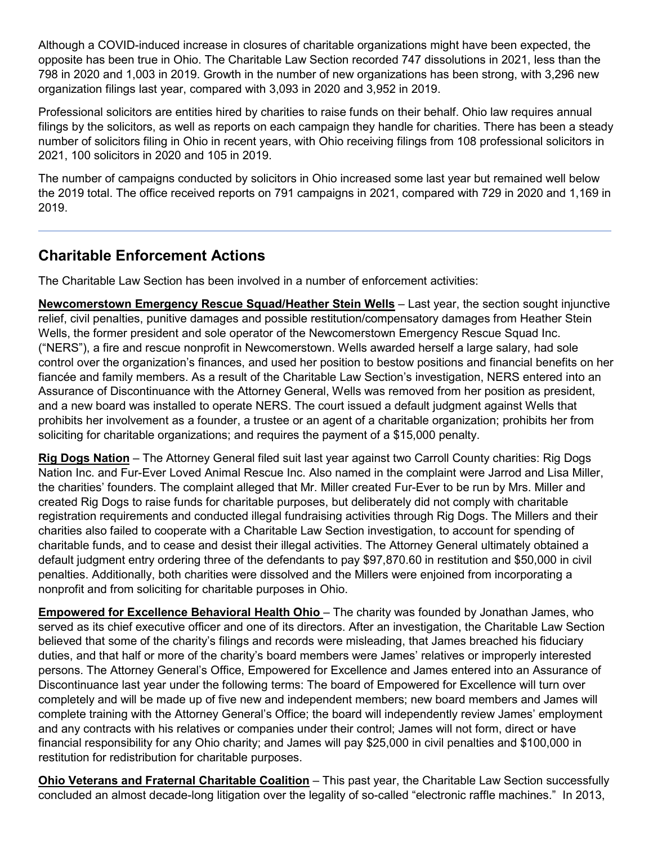Although a COVID-induced increase in closures of charitable organizations might have been expected, the opposite has been true in Ohio. The Charitable Law Section recorded 747 dissolutions in 2021, less than the 798 in 2020 and 1,003 in 2019. Growth in the number of new organizations has been strong, with 3,296 new organization filings last year, compared with 3,093 in 2020 and 3,952 in 2019.

Professional solicitors are entities hired by charities to raise funds on their behalf. Ohio law requires annual filings by the solicitors, as well as reports on each campaign they handle for charities. There has been a steady number of solicitors filing in Ohio in recent years, with Ohio receiving filings from 108 professional solicitors in 2021, 100 solicitors in 2020 and 105 in 2019.

The number of campaigns conducted by solicitors in Ohio increased some last year but remained well below the 2019 total. The office received reports on 791 campaigns in 2021, compared with 729 in 2020 and 1,169 in 2019.

#### **Charitable Enforcement Actions**

The Charitable Law Section has been involved in a number of enforcement activities:

**Newcomerstown Emergency Rescue Squad/Heather Stein Wells** – Last year, the section sought injunctive relief, civil penalties, punitive damages and possible restitution/compensatory damages from Heather Stein Wells, the former president and sole operator of the Newcomerstown Emergency Rescue Squad Inc. ("NERS"), a fire and rescue nonprofit in Newcomerstown. Wells awarded herself a large salary, had sole control over the organization's finances, and used her position to bestow positions and financial benefits on her fiancée and family members. As a result of the Charitable Law Section's investigation, NERS entered into an Assurance of Discontinuance with the Attorney General, Wells was removed from her position as president, and a new board was installed to operate NERS. The court issued a default judgment against Wells that prohibits her involvement as a founder, a trustee or an agent of a charitable organization; prohibits her from soliciting for charitable organizations; and requires the payment of a \$15,000 penalty.

**Rig Dogs Nation** – The Attorney General filed suit last year against two Carroll County charities: Rig Dogs Nation Inc. and Fur-Ever Loved Animal Rescue Inc. Also named in the complaint were Jarrod and Lisa Miller, the charities' founders. The complaint alleged that Mr. Miller created Fur-Ever to be run by Mrs. Miller and created Rig Dogs to raise funds for charitable purposes, but deliberately did not comply with charitable registration requirements and conducted illegal fundraising activities through Rig Dogs. The Millers and their charities also failed to cooperate with a Charitable Law Section investigation, to account for spending of charitable funds, and to cease and desist their illegal activities. The Attorney General ultimately obtained a default judgment entry ordering three of the defendants to pay \$97,870.60 in restitution and \$50,000 in civil penalties. Additionally, both charities were dissolved and the Millers were enjoined from incorporating a nonprofit and from soliciting for charitable purposes in Ohio.

**Empowered for Excellence Behavioral Health Ohio** – The charity was founded by Jonathan James, who served as its chief executive officer and one of its directors. After an investigation, the Charitable Law Section believed that some of the charity's filings and records were misleading, that James breached his fiduciary duties, and that half or more of the charity's board members were James' relatives or improperly interested persons. The Attorney General's Office, Empowered for Excellence and James entered into an Assurance of Discontinuance last year under the following terms: The board of Empowered for Excellence will turn over completely and will be made up of five new and independent members; new board members and James will complete training with the Attorney General's Office; the board will independently review James' employment and any contracts with his relatives or companies under their control; James will not form, direct or have financial responsibility for any Ohio charity; and James will pay \$25,000 in civil penalties and \$100,000 in restitution for redistribution for charitable purposes.

**Ohio Veterans and Fraternal Charitable Coalition** – This past year, the Charitable Law Section successfully concluded an almost decade-long litigation over the legality of so-called "electronic raffle machines." In 2013,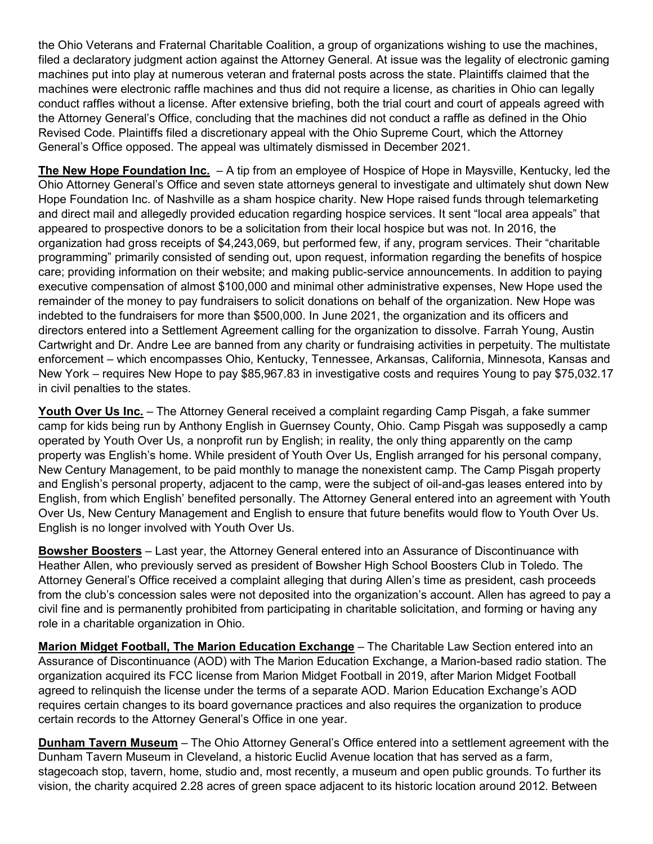the Ohio Veterans and Fraternal Charitable Coalition, a group of organizations wishing to use the machines, filed a declaratory judgment action against the Attorney General. At issue was the legality of electronic gaming machines put into play at numerous veteran and fraternal posts across the state. Plaintiffs claimed that the machines were electronic raffle machines and thus did not require a license, as charities in Ohio can legally conduct raffles without a license. After extensive briefing, both the trial court and court of appeals agreed with the Attorney General's Office, concluding that the machines did not conduct a raffle as defined in the Ohio Revised Code. Plaintiffs filed a discretionary appeal with the Ohio Supreme Court, which the Attorney General's Office opposed. The appeal was ultimately dismissed in December 2021.

**The New Hope Foundation Inc.** – A tip from an employee of Hospice of Hope in Maysville, Kentucky, led the Ohio Attorney General's Office and seven state attorneys general to investigate and ultimately shut down New Hope Foundation Inc. of Nashville as a sham hospice charity. New Hope raised funds through telemarketing and direct mail and allegedly provided education regarding hospice services. It sent "local area appeals" that appeared to prospective donors to be a solicitation from their local hospice but was not. In 2016, the organization had gross receipts of \$4,243,069, but performed few, if any, program services. Their "charitable programming" primarily consisted of sending out, upon request, information regarding the benefits of hospice care; providing information on their website; and making public-service announcements. In addition to paying executive compensation of almost \$100,000 and minimal other administrative expenses, New Hope used the remainder of the money to pay fundraisers to solicit donations on behalf of the organization. New Hope was indebted to the fundraisers for more than \$500,000. In June 2021, the organization and its officers and directors entered into a Settlement Agreement calling for the organization to dissolve. Farrah Young, Austin Cartwright and Dr. Andre Lee are banned from any charity or fundraising activities in perpetuity. The multistate enforcement – which encompasses Ohio, Kentucky, Tennessee, Arkansas, California, Minnesota, Kansas and New York – requires New Hope to pay \$85,967.83 in investigative costs and requires Young to pay \$75,032.17 in civil penalties to the states.

**Youth Over Us Inc.** – The Attorney General received a complaint regarding Camp Pisgah, a fake summer camp for kids being run by Anthony English in Guernsey County, Ohio. Camp Pisgah was supposedly a camp operated by Youth Over Us, a nonprofit run by English; in reality, the only thing apparently on the camp property was English's home. While president of Youth Over Us, English arranged for his personal company, New Century Management, to be paid monthly to manage the nonexistent camp. The Camp Pisgah property and English's personal property, adjacent to the camp, were the subject of oil-and-gas leases entered into by English, from which English' benefited personally. The Attorney General entered into an agreement with Youth Over Us, New Century Management and English to ensure that future benefits would flow to Youth Over Us. English is no longer involved with Youth Over Us.

**Bowsher Boosters** – Last year, the Attorney General entered into an Assurance of Discontinuance with Heather Allen, who previously served as president of Bowsher High School Boosters Club in Toledo. The Attorney General's Office received a complaint alleging that during Allen's time as president, cash proceeds from the club's concession sales were not deposited into the organization's account. Allen has agreed to pay a civil fine and is permanently prohibited from participating in charitable solicitation, and forming or having any role in a charitable organization in Ohio.

**Marion Midget Football, The Marion Education Exchange** – The Charitable Law Section entered into an Assurance of Discontinuance (AOD) with The Marion Education Exchange, a Marion-based radio station. The organization acquired its FCC license from Marion Midget Football in 2019, after Marion Midget Football agreed to relinquish the license under the terms of a separate AOD. Marion Education Exchange's AOD requires certain changes to its board governance practices and also requires the organization to produce certain records to the Attorney General's Office in one year.

**Dunham Tavern Museum** – The Ohio Attorney General's Office entered into a settlement agreement with the Dunham Tavern Museum in Cleveland, a historic Euclid Avenue location that has served as a farm, stagecoach stop, tavern, home, studio and, most recently, a museum and open public grounds. To further its vision, the charity acquired 2.28 acres of green space adjacent to its historic location around 2012. Between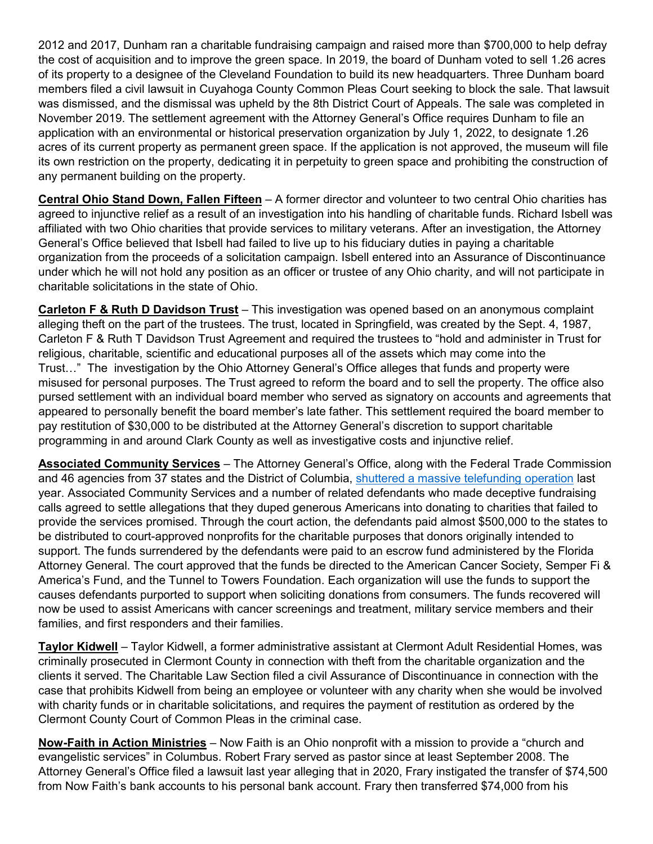2012 and 2017, Dunham ran a charitable fundraising campaign and raised more than \$700,000 to help defray the cost of acquisition and to improve the green space. In 2019, the board of Dunham voted to sell 1.26 acres of its property to a designee of the Cleveland Foundation to build its new headquarters. Three Dunham board members filed a civil lawsuit in Cuyahoga County Common Pleas Court seeking to block the sale. That lawsuit was dismissed, and the dismissal was upheld by the 8th District Court of Appeals. The sale was completed in November 2019. The settlement agreement with the Attorney General's Office requires Dunham to file an application with an environmental or historical preservation organization by July 1, 2022, to designate 1.26 acres of its current property as permanent green space. If the application is not approved, the museum will file its own restriction on the property, dedicating it in perpetuity to green space and prohibiting the construction of any permanent building on the property.

**Central Ohio Stand Down, Fallen Fifteen** – A former director and volunteer to two central Ohio charities has agreed to injunctive relief as a result of an investigation into his handling of charitable funds. Richard Isbell was affiliated with two Ohio charities that provide services to military veterans. After an investigation, the Attorney General's Office believed that Isbell had failed to live up to his fiduciary duties in paying a charitable organization from the proceeds of a solicitation campaign. Isbell entered into an Assurance of Discontinuance under which he will not hold any position as an officer or trustee of any Ohio charity, and will not participate in charitable solicitations in the state of Ohio.

**Carleton F & Ruth D Davidson Trust** – This investigation was opened based on an anonymous complaint alleging theft on the part of the trustees. The trust, located in Springfield, was created by the Sept. 4, 1987, Carleton F & Ruth T Davidson Trust Agreement and required the trustees to "hold and administer in Trust for religious, charitable, scientific and educational purposes all of the assets which may come into the Trust…" The investigation by the Ohio Attorney General's Office alleges that funds and property were misused for personal purposes. The Trust agreed to reform the board and to sell the property. The office also pursed settlement with an individual board member who served as signatory on accounts and agreements that appeared to personally benefit the board member's late father. This settlement required the board member to pay restitution of \$30,000 to be distributed at the Attorney General's discretion to support charitable programming in and around Clark County as well as investigative costs and injunctive relief.

**Associated Community Services** – The Attorney General's Office, along with the Federal Trade Commission and 46 agencies from 37 states and the District of Columbia, [shuttered a massive telefunding operation](https://www.ftc.gov/enforcement/cases-proceedings/162-3208/associated-community-services-inc#_blank) last year. Associated Community Services and a number of related defendants who made deceptive fundraising calls agreed to settle allegations that they duped generous Americans into donating to charities that failed to provide the services promised. Through the court action, the defendants paid almost \$500,000 to the states to be distributed to court-approved nonprofits for the charitable purposes that donors originally intended to support. The funds surrendered by the defendants were paid to an escrow fund administered by the Florida Attorney General. The court approved that the funds be directed to the American Cancer Society, Semper Fi & America's Fund, and the Tunnel to Towers Foundation. Each organization will use the funds to support the causes defendants purported to support when soliciting donations from consumers. The funds recovered will now be used to assist Americans with cancer screenings and treatment, military service members and their families, and first responders and their families.

**Taylor Kidwell** – Taylor Kidwell, a former administrative assistant at Clermont Adult Residential Homes, was criminally prosecuted in Clermont County in connection with theft from the charitable organization and the clients it served. The Charitable Law Section filed a civil Assurance of Discontinuance in connection with the case that prohibits Kidwell from being an employee or volunteer with any charity when she would be involved with charity funds or in charitable solicitations, and requires the payment of restitution as ordered by the Clermont County Court of Common Pleas in the criminal case.

**Now-Faith in Action Ministries** – Now Faith is an Ohio nonprofit with a mission to provide a "church and evangelistic services" in Columbus. Robert Frary served as pastor since at least September 2008. The Attorney General's Office filed a lawsuit last year alleging that in 2020, Frary instigated the transfer of \$74,500 from Now Faith's bank accounts to his personal bank account. Frary then transferred \$74,000 from his